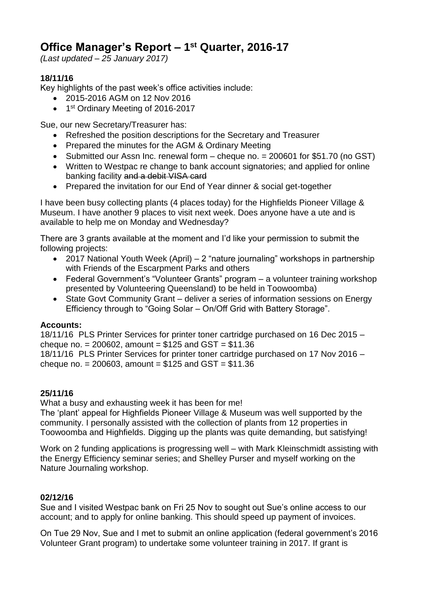# **Office Manager's Report – 1 st Quarter, 2016-17**

*(Last updated – 25 January 2017)*

## **18/11/16**

Key highlights of the past week's office activities include:

- 2015-2016 AGM on 12 Nov 2016
- 1<sup>st</sup> Ordinary Meeting of 2016-2017

Sue, our new Secretary/Treasurer has:

- Refreshed the position descriptions for the Secretary and Treasurer
- Prepared the minutes for the AGM & Ordinary Meeting
- Submitted our Assn Inc. renewal form cheque no. = 200601 for \$51.70 (no GST)
- Written to Westpac re change to bank account signatories; and applied for online banking facility and a debit VISA card
- Prepared the invitation for our End of Year dinner & social get-together

I have been busy collecting plants (4 places today) for the Highfields Pioneer Village & Museum. I have another 9 places to visit next week. Does anyone have a ute and is available to help me on Monday and Wednesday?

There are 3 grants available at the moment and I'd like your permission to submit the following projects:

- 2017 National Youth Week (April) 2 "nature journaling" workshops in partnership with Friends of the Escarpment Parks and others
- Federal Government's "Volunteer Grants" program a volunteer training workshop presented by Volunteering Queensland) to be held in Toowoomba)
- State Govt Community Grant deliver a series of information sessions on Energy Efficiency through to "Going Solar – On/Off Grid with Battery Storage".

## **Accounts:**

18/11/16 PLS Printer Services for printer toner cartridge purchased on 16 Dec 2015 – cheque no. =  $200602$ , amount =  $$125$  and GST =  $$11.36$ 

18/11/16 PLS Printer Services for printer toner cartridge purchased on 17 Nov 2016 – cheque no. =  $200603$ , amount =  $$125$  and  $GST = $11.36$ 

## **25/11/16**

What a busy and exhausting week it has been for me!

The 'plant' appeal for Highfields Pioneer Village & Museum was well supported by the community. I personally assisted with the collection of plants from 12 properties in Toowoomba and Highfields. Digging up the plants was quite demanding, but satisfying!

Work on 2 funding applications is progressing well – with Mark Kleinschmidt assisting with the Energy Efficiency seminar series; and Shelley Purser and myself working on the Nature Journaling workshop.

## **02/12/16**

Sue and I visited Westpac bank on Fri 25 Nov to sought out Sue's online access to our account; and to apply for online banking. This should speed up payment of invoices.

On Tue 29 Nov, Sue and I met to submit an online application (federal government's 2016 Volunteer Grant program) to undertake some volunteer training in 2017. If grant is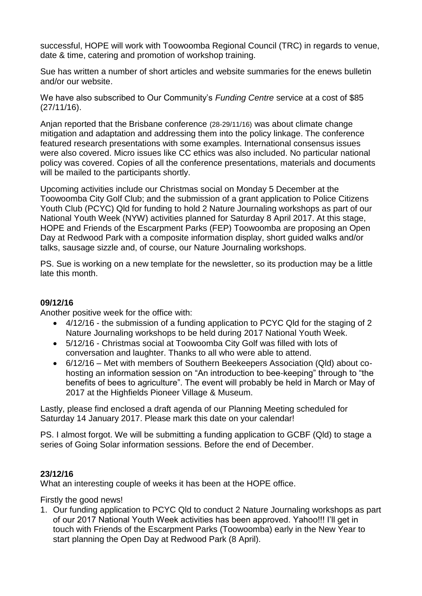successful, HOPE will work with Toowoomba Regional Council (TRC) in regards to venue, date & time, catering and promotion of workshop training.

Sue has written a number of short articles and website summaries for the enews bulletin and/or our website.

We have also subscribed to Our Community's *Funding Centre* service at a cost of \$85 (27/11/16).

Anjan reported that the Brisbane conference (28-29/11/16) was about climate change mitigation and adaptation and addressing them into the policy linkage. The conference featured research presentations with some examples. International consensus issues were also covered. Micro issues like CC ethics was also included. No particular national policy was covered. Copies of all the conference presentations, materials and documents will be mailed to the participants shortly.

Upcoming activities include our Christmas social on Monday 5 December at the Toowoomba City Golf Club; and the submission of a grant application to Police Citizens Youth Club (PCYC) Qld for funding to hold 2 Nature Journaling workshops as part of our National Youth Week (NYW) activities planned for Saturday 8 April 2017. At this stage, HOPE and Friends of the Escarpment Parks (FEP) Toowoomba are proposing an Open Day at Redwood Park with a composite information display, short guided walks and/or talks, sausage sizzle and, of course, our Nature Journaling workshops.

PS. Sue is working on a new template for the newsletter, so its production may be a little late this month.

#### **09/12/16**

Another positive week for the office with:

- 4/12/16 the submission of a funding application to PCYC Qld for the staging of 2 Nature Journaling workshops to be held during 2017 National Youth Week.
- 5/12/16 Christmas social at Toowoomba City Golf was filled with lots of conversation and laughter. Thanks to all who were able to attend.
- 6/12/16 Met with members of Southern Beekeepers Association (Qld) about cohosting an information session on "An introduction to bee-keeping" through to "the benefits of bees to agriculture". The event will probably be held in March or May of 2017 at the Highfields Pioneer Village & Museum.

Lastly, please find enclosed a draft agenda of our Planning Meeting scheduled for Saturday 14 January 2017. Please mark this date on your calendar!

PS. I almost forgot. We will be submitting a funding application to GCBF (Qld) to stage a series of Going Solar information sessions. Before the end of December.

#### **23/12/16**

What an interesting couple of weeks it has been at the HOPE office.

Firstly the good news!

1. Our funding application to PCYC Qld to conduct 2 Nature Journaling workshops as part of our 2017 National Youth Week activities has been approved. Yahoo!!! I'll get in touch with Friends of the Escarpment Parks (Toowoomba) early in the New Year to start planning the Open Day at Redwood Park (8 April).